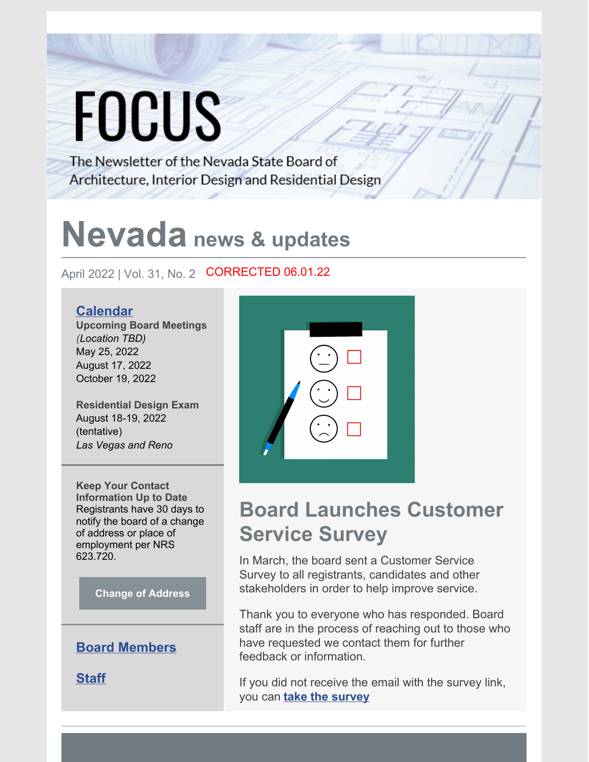# **FOCUS**

The Newsletter of the Nevada State Board of Architecture, Interior Design and Residential Design

## **Nevada news & updates**

April 2022 | Vol. 31, No. 2 **CORRECTED 06.01.22** 

#### **[Calendar](http://nsbaidrd.org/board-meetings-and-contact-information/)**

**Upcoming Board Meetings** *(Location TBD)* May 25, 2022 August 17, 2022 October 19, 2022

**Residential Design Exam** August 18-19, 2022 (tentative) *Las Vegas and Reno*

**Keep Your Contact Information Up to Date** Registrants have 30 days to notify the board of a change of address or place of employment per NRS 623.720.

**[Change of Address](http://nsbaidrd.org/uploads/addresschange.pdf)**

#### **[Board Members](http://nsbaidrd.org/board-members/)**

**[Staff](http://nsbaidrd.org/board-staff/)**



## **Board Launches Customer Service Survey**

In March, the board sent a Customer Service Survey to all registrants, candidates and other stakeholders in order to help improve service.

Thank you to everyone who has responded. Board staff are in the process of reaching out to those who have requested we contact them for further feedback or information.

If you did not receive the email with the survey link, you can **[take the survey](https://www.surveymonkey.com/r/BD2XNWD)**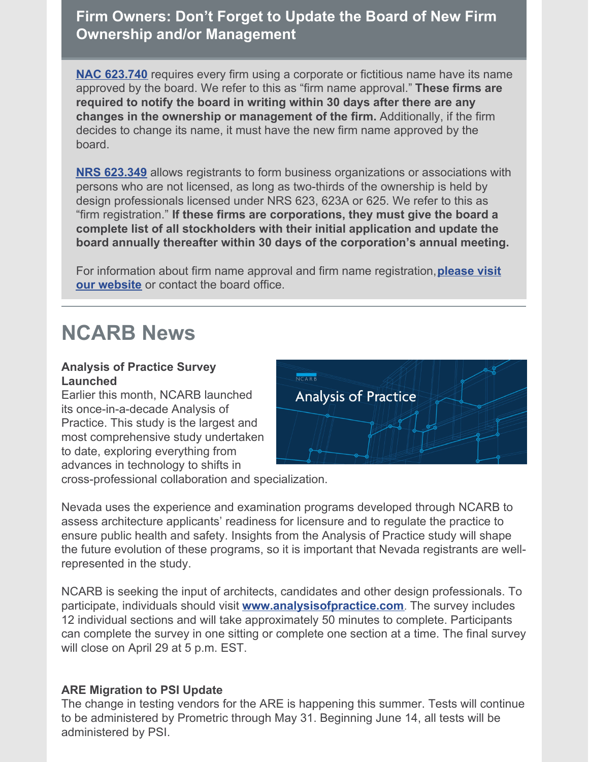**Firm Owners: Don't Forget to Update the Board of New Firm Ownership and/or Management**

**NAC [623.740](https://www.leg.state.nv.us/NAC/NAC-623.html#NAC623Sec740)** requires every firm using a corporate or fictitious name have its name approved by the board. We refer to this as "firm name approval." **These firms are required to notify the board in writing within 30 days after there are any changes in the ownership or management of the firm.** Additionally, if the firm decides to change its name, it must have the new firm name approved by the board.

**NRS [623.349](https://www.leg.state.nv.us/NRS/NRS-623.html#NRS623Sec349)** allows registrants to form business organizations or associations with persons who are not licensed, as long as two-thirds of the ownership is held by design professionals licensed under NRS 623, 623A or 625. We refer to this as "firm registration." **If these firms are corporations, they must give the board a complete list of all stockholders with their initial application and update the board annually thereafter within 30 days of the corporation's annual meeting.**

For information about firm name approval and firm name [registration,](http://nsbaidrd.org/firms/)**please visit our website** or contact the board office.

### **NCARB News**

#### **Analysis of Practice Survey Launched**

Earlier this month, NCARB launched its once-in-a-decade Analysis of Practice. This study is the largest and most comprehensive study undertaken to date, exploring everything from advances in technology to shifts in



cross-professional collaboration and specialization.

Nevada uses the experience and examination programs developed through NCARB to assess architecture applicants' readiness for licensure and to regulate the practice to ensure public health and safety. Insights from the Analysis of Practice study will shape the future evolution of these programs, so it is important that Nevada registrants are wellrepresented in the study.

NCARB is seeking the input of architects, candidates and other design professionals. To participate, individuals should visit **[www.analysisofpractice.com](http://www.analysisofpractice.com/)**. The survey includes 12 individual sections and will take approximately 50 minutes to complete. Participants can complete the survey in one sitting or complete one section at a time. The final survey will close on April 29 at 5 p.m. EST.

#### **ARE Migration to PSI Update**

The change in testing vendors for the ARE is happening this summer. Tests will continue to be administered by Prometric through May 31. Beginning June 14, all tests will be administered by PSI.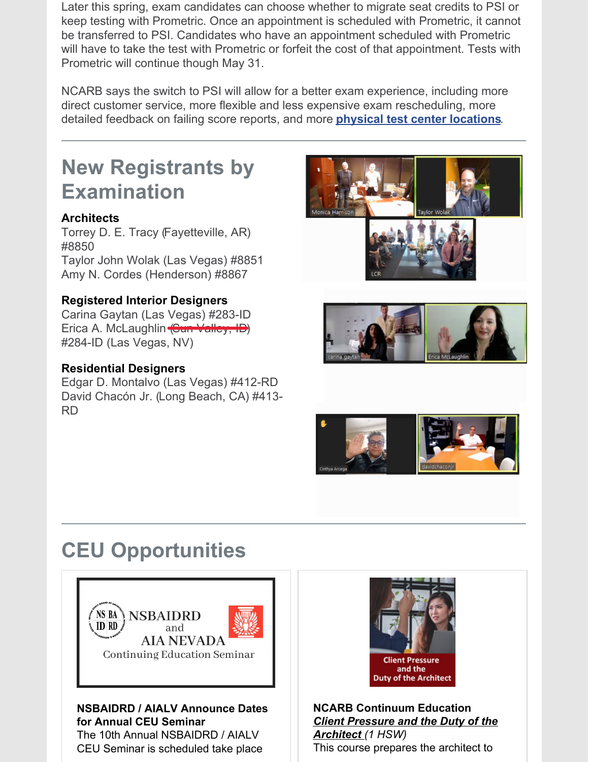Later this spring, exam candidates can choose whether to migrate seat credits to PSI or keep testing with Prometric. Once an appointment is scheduled with Prometric, it cannot be transferred to PSI. Candidates who have an appointment scheduled with Prometric will have to take the test with Prometric or forfeit the cost of that appointment. Tests with Prometric will continue though May 31.

NCARB says the switch to PSI will allow for a better exam experience, including more direct customer service, more flexible and less expensive exam rescheduling, more detailed feedback on failing score reports, and more **[physical test center locations](https://www.ncarb.org/sites/default/files/PSITestCenters.pdf)**.

## **New Registrants by Examination**

#### **Architects**

Torrey D. E. Tracy (Fayetteville, AR) #8850

Taylor John Wolak (Las Vegas) #8851 Amy N. Cordes (Henderson) #8867

#### **Registered Interior Designers**

Carina Gaytan (Las Vegas) #283-ID Erica A. McLaughlin (Sun Valley, ID) #284-ID (Las Vegas, NV)

#### **Residential Designers**

Edgar D. Montalvo (Las Vegas) #412-RD David Chacón Jr. (Long Beach, CA) #413- RD









## **CEU Opportunities**



#### **NSBAIDRD / AIALV Announce Dates for Annual CEU Seminar**

The 10th Annual NSBAIDRD / AIALV CEU Seminar is scheduled take place



**NCARB Continuum Education** *[Client Pressure and the Duty of the](https://ce.ncarb.org/program_online_view_sa.php?prc=internal&pid=275) Architect (1 HSW)* This course prepares the architect to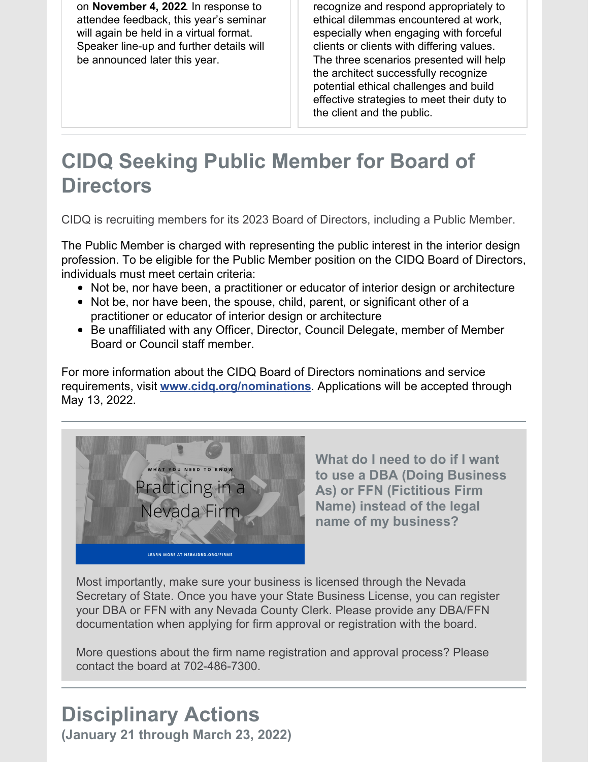on **November 4, 2022**. In response to attendee feedback, this year's seminar will again be held in a virtual format. Speaker line-up and further details will be announced later this year.

recognize and respond appropriately to ethical dilemmas encountered at work, especially when engaging with forceful clients or clients with differing values. The three scenarios presented will help the architect successfully recognize potential ethical challenges and build effective strategies to meet their duty to the client and the public.

## **CIDQ Seeking Public Member for Board of Directors**

CIDQ is recruiting members for its 2023 Board of Directors, including a Public Member.

The Public Member is charged with representing the public interest in the interior design profession. To be eligible for the Public Member position on the CIDQ Board of Directors, individuals must meet certain criteria:

- Not be, nor have been, a practitioner or educator of interior design or architecture
- Not be, nor have been, the spouse, child, parent, or significant other of a practitioner or educator of interior design or architecture
- Be unaffiliated with any Officer, Director, Council Delegate, member of Member Board or Council staff member.

For more information about the CIDQ Board of Directors nominations and service requirements, visit **[www.cidq.org/nominations](http://www.cidq.org/nominations)**. Applications will be accepted through May 13, 2022.



**What do I need to do if I want to use a DBA (Doing Business As) or FFN (Fictitious Firm Name) instead of the legal name of my business?**

Most importantly, make sure your business is licensed through the Nevada Secretary of State. Once you have your State Business License, you can register your DBA or FFN with any Nevada County Clerk. Please provide any DBA/FFN documentation when applying for firm approval or registration with the board.

More questions about the firm name registration and approval process? Please contact the board at 702-486-7300.

#### **Disciplinary Actions (January 21 through March 23, 2022)**